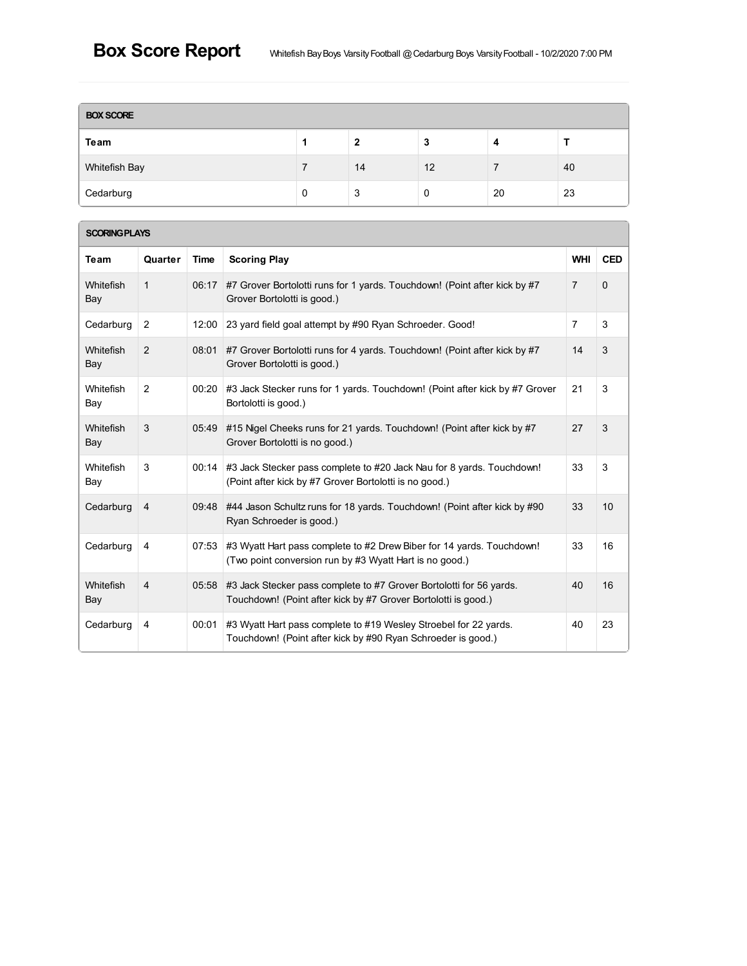| <b>BOX SCORE</b> |   |    |    |    |    |  |  |  |
|------------------|---|----|----|----|----|--|--|--|
| Team             |   | 2  | 3  | 4  |    |  |  |  |
| Whitefish Bay    |   | 14 | 12 |    | 40 |  |  |  |
| Cedarburg        | 0 | 3  | 0  | 20 | 23 |  |  |  |

### **SCORINGPLAYS**

| Team                    | Quarter        | Time  | <b>Scoring Play</b>                                                                                                                   | <b>WHI</b>     | <b>CED</b> |
|-------------------------|----------------|-------|---------------------------------------------------------------------------------------------------------------------------------------|----------------|------------|
| <b>Whitefish</b><br>Bay | $\mathbf{1}$   | 06:17 | #7 Grover Bortolotti runs for 1 yards. Touchdown! (Point after kick by #7<br>Grover Bortolotti is good.)                              | $\overline{7}$ | $\Omega$   |
| Cedarburg               | 2              | 12:00 | 23 yard field goal attempt by #90 Ryan Schroeder. Good!                                                                               | $\overline{7}$ | 3          |
| <b>Whitefish</b><br>Bay | 2              | 08:01 | #7 Grover Bortolotti runs for 4 yards. Touchdown! (Point after kick by #7<br>Grover Bortolotti is good.)                              | 14             | 3          |
| Whitefish<br>Bay        | 2              | 00:20 | #3 Jack Stecker runs for 1 yards. Touchdown! (Point after kick by #7 Grover<br>Bortolotti is good.)                                   | 21             | 3          |
| Whitefish<br>Bay        | 3              | 05:49 | #15 Nigel Cheeks runs for 21 yards. Touchdown! (Point after kick by #7<br>Grover Bortolotti is no good.)                              | 27             | 3          |
| Whitefish<br>Bay        | 3              | 00:14 | #3 Jack Stecker pass complete to #20 Jack Nau for 8 yards. Touchdown!<br>(Point after kick by #7 Grover Bortolotti is no good.)       | 33             | 3          |
| Cedarburg               | 4              | 09:48 | #44 Jason Schultz runs for 18 yards. Touchdown! (Point after kick by #90<br>Ryan Schroeder is good.)                                  | 33             | 10         |
| Cedarburg               | 4              | 07:53 | #3 Wyatt Hart pass complete to #2 Drew Biber for 14 yards. Touchdown!<br>(Two point conversion run by #3 Wyatt Hart is no good.)      | 33             | 16         |
| Whitefish<br>Bay        | $\overline{4}$ | 05:58 | #3 Jack Stecker pass complete to #7 Grover Bortolotti for 56 yards.<br>Touchdown! (Point after kick by #7 Grover Bortolotti is good.) | 40             | 16         |
| Cedarburg               | 4              | 00:01 | #3 Wyatt Hart pass complete to #19 Wesley Stroebel for 22 yards.<br>Touchdown! (Point after kick by #90 Ryan Schroeder is good.)      | 40             | 23         |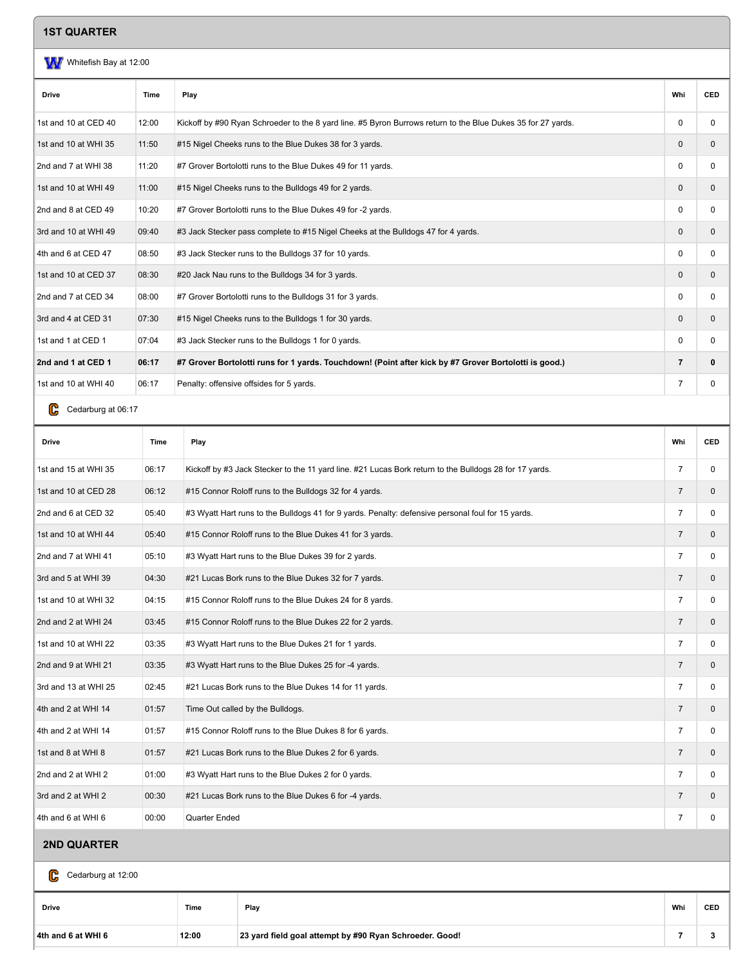#### **1ST QUARTER**

# W Whitefish Bay at 12:00 **Drive Time Play Whi CED** 1st and 10 at CED 40 12:00 Kickoff by #90 Ryan Schroeder to the 8 yard line. #5 Byron Burrows return to the Blue Dukes 35 for 27 yards. 1st and 10 at WHI 35 11:50 #15 Nigel Cheeks runs to the Blue Dukes 38 for 3 yards. 0 0 2nd and 7 at WHI 38 11:20 #7 Grover Bortolotti runs to the Blue Dukes 49 for 11 yards. 0 0 1st and 10 at WHI 49 11:00 #15 Nigel Cheeks runs to the Bulldogs 49 for 2 yards. 0 0 2nd and 8 at CED 49 10:20 #7 Grover Bortolotti runs to the Blue Dukes 49 for -2 yards. 0 0 3rd and 10 at WHI 49 09:40 #3 Jack Stecker pass complete to #15 Nigel Cheeks at the Bulldogs 47 for 4 yards. 0 0 4th and 6 at CED 47 08:50 #3 Jack Stecker runs to the Bulldogs 37 for 10 yards. 0 0 1st and 10 at CED 37 08:30 #20 Jack Nau runs to the Bulldogs 34 for 3 yards. 0 0 2nd and 7 at CED 34 08:00 #7 Grover Bortolotti runs to the Bulldogs 31 for 3 yards. 0 0 3rd and 4 at CED 31 07:30 #15 Nigel Cheeks runs to the Bulldogs 1 for 30 yards. 0 0 1st and 1 at CED 1 07:04 #3 Jack Stecker runs to the Bulldogs 1 for 0 yards. 0 0 2nd and 1 at CED 1 06:17 #7 Grover Bortolotti runs for 1 yards. Touchdown! (Point after kick by #7 Grover Bortolotti is good.) 7 0 1st and 10 at WHI 40 06:17 Penalty: offensive offsides for 5 yards. **7** 0

C Cedarburg at 06:17

| <b>Drive</b>         | Time  | Play                                                                                                   | Whi            | <b>CED</b>   |
|----------------------|-------|--------------------------------------------------------------------------------------------------------|----------------|--------------|
| 1st and 15 at WHI 35 | 06:17 | Kickoff by #3 Jack Stecker to the 11 yard line. #21 Lucas Bork return to the Bulldogs 28 for 17 yards. | $\overline{7}$ | 0            |
| 1st and 10 at CED 28 | 06:12 | #15 Connor Roloff runs to the Bulldogs 32 for 4 yards.                                                 | $\overline{7}$ | 0            |
| 2nd and 6 at CED 32  | 05:40 | #3 Wyatt Hart runs to the Bulldogs 41 for 9 yards. Penalty: defensive personal foul for 15 yards.      | $\overline{7}$ | 0            |
| 1st and 10 at WHI 44 | 05:40 | #15 Connor Roloff runs to the Blue Dukes 41 for 3 yards.                                               | $\overline{7}$ | $\mathbf{0}$ |
| 2nd and 7 at WHI 41  | 05:10 | #3 Wyatt Hart runs to the Blue Dukes 39 for 2 yards.                                                   | $\overline{7}$ | 0            |
| 3rd and 5 at WHI 39  | 04:30 | #21 Lucas Bork runs to the Blue Dukes 32 for 7 yards.                                                  | $\overline{7}$ | $\mathbf{0}$ |
| 1st and 10 at WHI 32 | 04:15 | #15 Connor Roloff runs to the Blue Dukes 24 for 8 yards.                                               | $\overline{7}$ | 0            |
| 2nd and 2 at WHI 24  | 03:45 | #15 Connor Roloff runs to the Blue Dukes 22 for 2 yards.                                               | $\overline{7}$ | 0            |
| 1st and 10 at WHI 22 | 03:35 | #3 Wyatt Hart runs to the Blue Dukes 21 for 1 yards.                                                   | $\overline{7}$ | 0            |
| 2nd and 9 at WHI 21  | 03:35 | #3 Wyatt Hart runs to the Blue Dukes 25 for -4 yards.                                                  | $\overline{7}$ | 0            |
| 3rd and 13 at WHI 25 | 02:45 | #21 Lucas Bork runs to the Blue Dukes 14 for 11 yards.                                                 | $\overline{7}$ | 0            |
| 4th and 2 at WHI 14  | 01:57 | Time Out called by the Bulldogs.                                                                       | $\overline{7}$ | $\mathbf{0}$ |
| 4th and 2 at WHI 14  | 01:57 | #15 Connor Roloff runs to the Blue Dukes 8 for 6 yards.                                                | $\overline{7}$ | 0            |
| 1st and 8 at WHI 8   | 01:57 | #21 Lucas Bork runs to the Blue Dukes 2 for 6 yards.                                                   | $\overline{7}$ | $\mathbf{0}$ |
| 2nd and 2 at WHI 2   | 01:00 | #3 Wyatt Hart runs to the Blue Dukes 2 for 0 yards.                                                    | $\overline{7}$ | 0            |
| 3rd and 2 at WHI 2   | 00:30 | #21 Lucas Bork runs to the Blue Dukes 6 for -4 yards.                                                  | $\overline{7}$ | 0            |
| 4th and 6 at WHI 6   | 00:00 | Quarter Ended                                                                                          | $\overline{7}$ | 0            |
| <b>2ND QUARTER</b>   |       |                                                                                                        |                |              |

Cedarburg at 12:00 C

| Drive              | Time  | Play                                                    | Whi | <b>CED</b> |
|--------------------|-------|---------------------------------------------------------|-----|------------|
| 4th and 6 at WHI 6 | 12:00 | 23 yard field goal attempt by #90 Ryan Schroeder. Good! |     |            |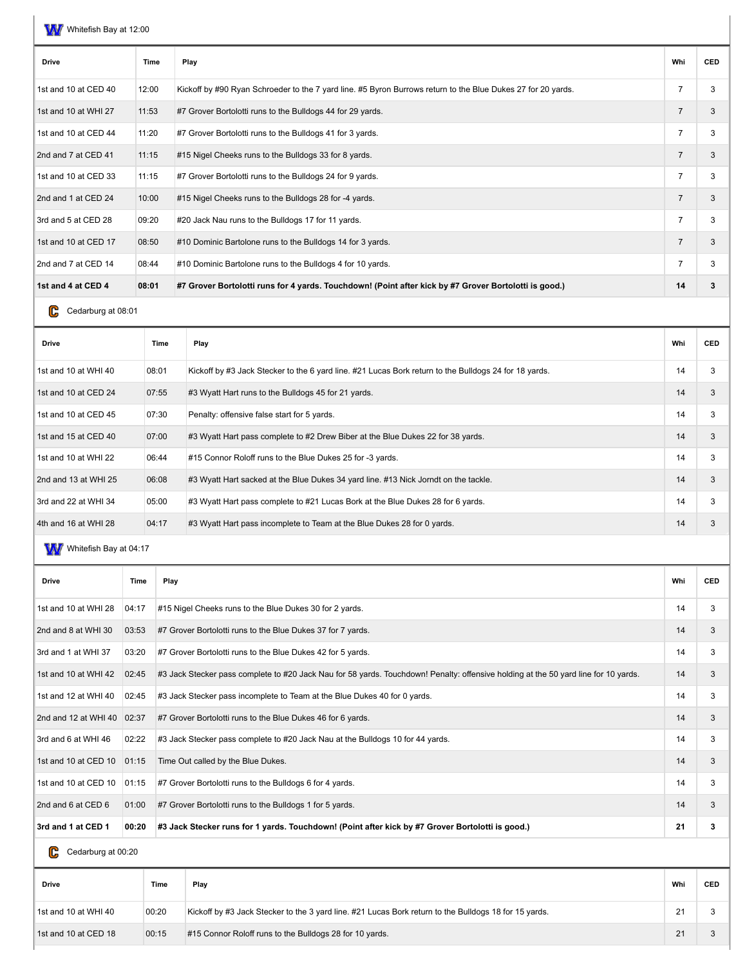| <b>Drive</b>         | Time  | Play                                                                                                         | Whi            | <b>CED</b> |
|----------------------|-------|--------------------------------------------------------------------------------------------------------------|----------------|------------|
| 1st and 10 at CED 40 | 12:00 | Kickoff by #90 Ryan Schroeder to the 7 yard line. #5 Byron Burrows return to the Blue Dukes 27 for 20 yards. | $\overline{7}$ | 3          |
| 1st and 10 at WHI 27 | 11:53 | #7 Grover Bortolotti runs to the Bulldogs 44 for 29 yards.                                                   | $\overline{7}$ | 3          |
| 1st and 10 at CED 44 | 11:20 | #7 Grover Bortolotti runs to the Bulldogs 41 for 3 yards.                                                    | 7              | 3          |
| 2nd and 7 at CED 41  | 11:15 | #15 Nigel Cheeks runs to the Bulldogs 33 for 8 yards.                                                        | $\overline{7}$ | 3          |
| 1st and 10 at CED 33 | 11:15 | #7 Grover Bortolotti runs to the Bulldogs 24 for 9 yards.                                                    | $\overline{7}$ | 3          |
| 2nd and 1 at CED 24  | 10:00 | #15 Nigel Cheeks runs to the Bulldogs 28 for -4 yards.                                                       | $\overline{7}$ | 3          |
| 3rd and 5 at CED 28  | 09:20 | #20 Jack Nau runs to the Bulldogs 17 for 11 yards.                                                           | 7              | 3          |
| 1st and 10 at CED 17 | 08:50 | #10 Dominic Bartolone runs to the Bulldogs 14 for 3 yards.                                                   | $\overline{7}$ | 3          |
| 2nd and 7 at CED 14  | 08:44 | #10 Dominic Bartolone runs to the Bulldogs 4 for 10 yards.                                                   | $\overline{7}$ | 3          |
| 1st and 4 at CED 4   | 08:01 | #7 Grover Bortolotti runs for 4 yards. Touchdown! (Point after kick by #7 Grover Bortolotti is good.)        | 14             | 3          |

CC Cedarburg at 08:01

| <b>Drive</b>         | Time  | Play                                                                                                  | Whi | <b>CED</b> |
|----------------------|-------|-------------------------------------------------------------------------------------------------------|-----|------------|
| 1st and 10 at WHI 40 | 08:01 | Kickoff by #3 Jack Stecker to the 6 yard line. #21 Lucas Bork return to the Bulldogs 24 for 18 yards. | 14  | 3          |
| 1st and 10 at CED 24 | 07:55 | #3 Wyatt Hart runs to the Bulldogs 45 for 21 yards.                                                   | 14  | 3          |
| 1st and 10 at CED 45 | 07:30 | Penalty: offensive false start for 5 yards.                                                           | 14  | 3          |
| 1st and 15 at CED 40 | 07:00 | #3 Wyatt Hart pass complete to #2 Drew Biber at the Blue Dukes 22 for 38 yards.                       | 14  | 3          |
| 1st and 10 at WHI 22 | 06:44 | #15 Connor Roloff runs to the Blue Dukes 25 for -3 yards.                                             | 14  | 3          |
| 2nd and 13 at WHI 25 | 06:08 | #3 Wyatt Hart sacked at the Blue Dukes 34 yard line. #13 Nick Jorndt on the tackle.                   | 14  | 3          |
| 3rd and 22 at WHI 34 | 05:00 | #3 Wyatt Hart pass complete to #21 Lucas Bork at the Blue Dukes 28 for 6 yards.                       | 14  | 3          |
| 4th and 16 at WHI 28 | 04:17 | #3 Wyatt Hart pass incomplete to Team at the Blue Dukes 28 for 0 yards.                               | 14  | 3          |

WW Whitefish Bay at 04:17

| <b>Drive</b>         | Time  | Play                                                                                                                                | Whi | <b>CED</b> |
|----------------------|-------|-------------------------------------------------------------------------------------------------------------------------------------|-----|------------|
| 1st and 10 at WHI 28 | 04:17 | #15 Nigel Cheeks runs to the Blue Dukes 30 for 2 yards.                                                                             | 14  | 3          |
| 2nd and 8 at WHI 30  | 03:53 | #7 Grover Bortolotti runs to the Blue Dukes 37 for 7 yards.                                                                         | 14  | 3          |
| 3rd and 1 at WHI 37  | 03:20 | #7 Grover Bortolotti runs to the Blue Dukes 42 for 5 yards.                                                                         | 14  | 3          |
| 1st and 10 at WHI 42 | 02:45 | #3 Jack Stecker pass complete to #20 Jack Nau for 58 yards. Touchdown! Penalty: offensive holding at the 50 yard line for 10 yards. | 14  | 3          |
| 1st and 12 at WHI 40 | 02:45 | #3 Jack Stecker pass incomplete to Team at the Blue Dukes 40 for 0 yards.                                                           | 14  | 3          |
| 2nd and 12 at WHI 40 | 02:37 | #7 Grover Bortolotti runs to the Blue Dukes 46 for 6 yards.                                                                         | 14  | 3          |
| 3rd and 6 at WHI 46  | 02:22 | #3 Jack Stecker pass complete to #20 Jack Nau at the Bulldogs 10 for 44 yards.                                                      | 14  | 3          |
| 1st and 10 at CED 10 | 01:15 | Time Out called by the Blue Dukes.                                                                                                  | 14  | 3          |
| 1st and 10 at CED 10 | 01:15 | #7 Grover Bortolotti runs to the Bulldogs 6 for 4 yards.                                                                            | 14  | 3          |
| 2nd and 6 at CED 6   | 01:00 | #7 Grover Bortolotti runs to the Bulldogs 1 for 5 yards.                                                                            | 14  | 3          |
| 3rd and 1 at CED 1   | 00:20 | #3 Jack Stecker runs for 1 yards. Touchdown! (Point after kick by #7 Grover Bortolotti is good.)                                    | 21  | 3          |

C<sub>c</sub>C<sub>c</sub> Cedarburg at 00:20

| Drive                | Time  | Play                                                                                                  | Whi | <b>CED</b> |
|----------------------|-------|-------------------------------------------------------------------------------------------------------|-----|------------|
| 1st and 10 at WHI 40 | 00:20 | Kickoff by #3 Jack Stecker to the 3 yard line. #21 Lucas Bork return to the Bulldogs 18 for 15 yards. | 21  |            |
| 1st and 10 at CED 18 | 00:15 | #15 Connor Roloff runs to the Bulldogs 28 for 10 yards.                                               | 21  |            |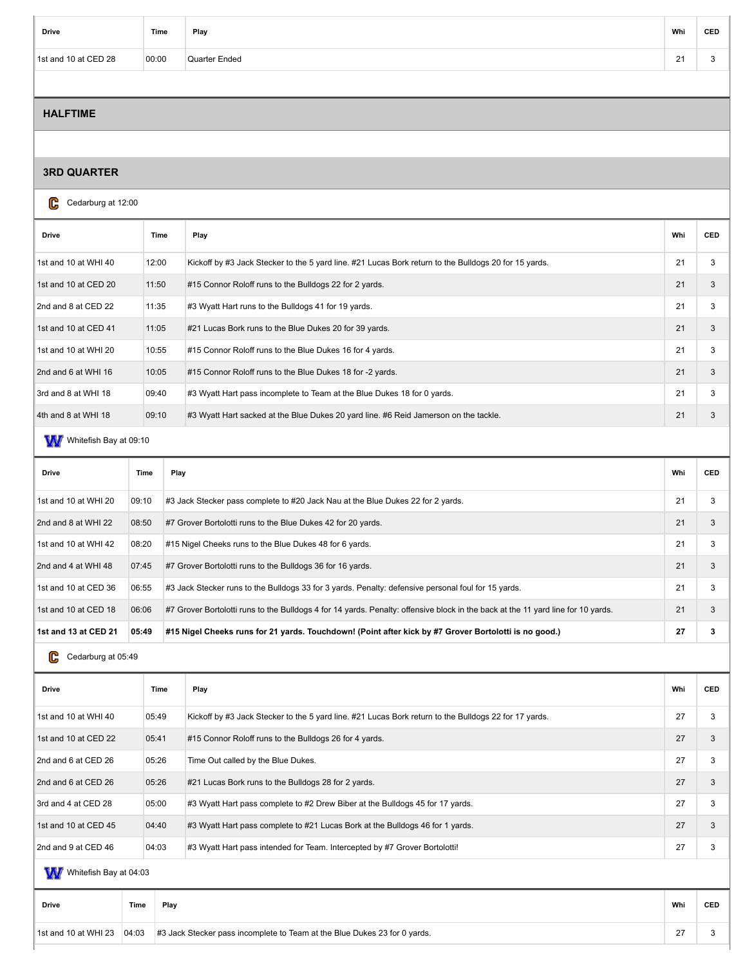| Drive                | Time  | Play          | Whi            | <b>CED</b> |
|----------------------|-------|---------------|----------------|------------|
| 1st and 10 at CED 28 | 00:00 | Quarter Ended | 24<br>$\sim$ 1 |            |

### **HALFTIME**

#### **3RD QUARTER**

### C<sub>c</sub>C<sub>c</sub> Cedarburg at 12:00

| Time  | Play                                                                                                  | Whi | <b>CED</b> |
|-------|-------------------------------------------------------------------------------------------------------|-----|------------|
| 12:00 | Kickoff by #3 Jack Stecker to the 5 yard line. #21 Lucas Bork return to the Bulldogs 20 for 15 yards. | 21  | 3          |
| 11:50 | #15 Connor Roloff runs to the Bulldogs 22 for 2 yards.                                                | 21  | 3          |
| 11:35 | #3 Wyatt Hart runs to the Bulldogs 41 for 19 yards.                                                   | 21  | 3          |
| 11:05 | #21 Lucas Bork runs to the Blue Dukes 20 for 39 yards.                                                | 21  | 3          |
| 10:55 | #15 Connor Roloff runs to the Blue Dukes 16 for 4 yards.                                              | 21  | 3          |
| 10:05 | #15 Connor Roloff runs to the Blue Dukes 18 for -2 yards.                                             | 21  | 3          |
| 09:40 | #3 Wyatt Hart pass incomplete to Team at the Blue Dukes 18 for 0 yards.                               | 21  | 3          |
| 09:10 | #3 Wyatt Hart sacked at the Blue Dukes 20 yard line. #6 Reid Jamerson on the tackle.                  | 21  | 3          |
|       |                                                                                                       |     |            |

# Wwhitefish Bay at 09:10

| <b>Drive</b>         | Time  | Play                                                                                                                             | Whi | <b>CED</b> |
|----------------------|-------|----------------------------------------------------------------------------------------------------------------------------------|-----|------------|
| 1st and 10 at WHI 20 | 09:10 | #3 Jack Stecker pass complete to #20 Jack Nau at the Blue Dukes 22 for 2 yards.                                                  | 21  | 3          |
| 2nd and 8 at WHI 22  | 08:50 | #7 Grover Bortolotti runs to the Blue Dukes 42 for 20 yards.                                                                     | 21  |            |
| 1st and 10 at WHI 42 | 08:20 | #15 Nigel Cheeks runs to the Blue Dukes 48 for 6 yards.                                                                          | 21  | 3          |
| 2nd and 4 at WHI 48  | 07:45 | #7 Grover Bortolotti runs to the Bulldogs 36 for 16 yards.                                                                       | 21  | 3          |
| 1st and 10 at CED 36 | 06:55 | #3 Jack Stecker runs to the Bulldogs 33 for 3 yards. Penalty: defensive personal foul for 15 yards.                              | 21  | 3          |
| 1st and 10 at CED 18 | 06:06 | #7 Grover Bortolotti runs to the Bulldogs 4 for 14 yards. Penalty: offensive block in the back at the 11 yard line for 10 yards. | 21  | 3          |
| 1st and 13 at CED 21 | 05:49 | #15 Nigel Cheeks runs for 21 yards. Touchdown! (Point after kick by #7 Grover Bortolotti is no good.)                            | 27  | з          |

CC Cedarburg at 05:49

| <b>Drive</b>           |      | Time  | Play                                                                                                  | Whi | <b>CED</b> |  |  |
|------------------------|------|-------|-------------------------------------------------------------------------------------------------------|-----|------------|--|--|
| 1st and 10 at WHI 40   |      | 05:49 | Kickoff by #3 Jack Stecker to the 5 yard line. #21 Lucas Bork return to the Bulldogs 22 for 17 yards. | 27  | 3          |  |  |
| 1st and 10 at CED 22   |      | 05:41 | #15 Connor Roloff runs to the Bulldogs 26 for 4 yards.                                                | 27  | 3          |  |  |
| 2nd and 6 at CED 26    |      | 05:26 | Time Out called by the Blue Dukes.                                                                    | 27  | 3          |  |  |
| 2nd and 6 at CED 26    |      | 05:26 | #21 Lucas Bork runs to the Bulldogs 28 for 2 yards.                                                   | 27  | 3          |  |  |
| 3rd and 4 at CED 28    |      | 05:00 | #3 Wyatt Hart pass complete to #2 Drew Biber at the Bulldogs 45 for 17 yards.                         | 27  | 3          |  |  |
| 1st and 10 at CED 45   |      | 04:40 | #3 Wyatt Hart pass complete to #21 Lucas Bork at the Bulldogs 46 for 1 yards.                         | 27  | 3          |  |  |
| 2nd and 9 at CED 46    |      | 04:03 | #3 Wyatt Hart pass intended for Team. Intercepted by #7 Grover Bortolotti!                            | 27  | 3          |  |  |
| Whitefish Bay at 04:03 |      |       |                                                                                                       |     |            |  |  |
| <b>Drive</b>           | Time | Play  |                                                                                                       | Whi | <b>CED</b> |  |  |

| and 10 at WHI 23<br>$1e+$ . | 04:03 | #3 Jack Stecker pass incomplete to Team at the Blue Dukes 23 for 0 vards. | $\sim$<br><u>_</u> |  |
|-----------------------------|-------|---------------------------------------------------------------------------|--------------------|--|
|                             |       |                                                                           |                    |  |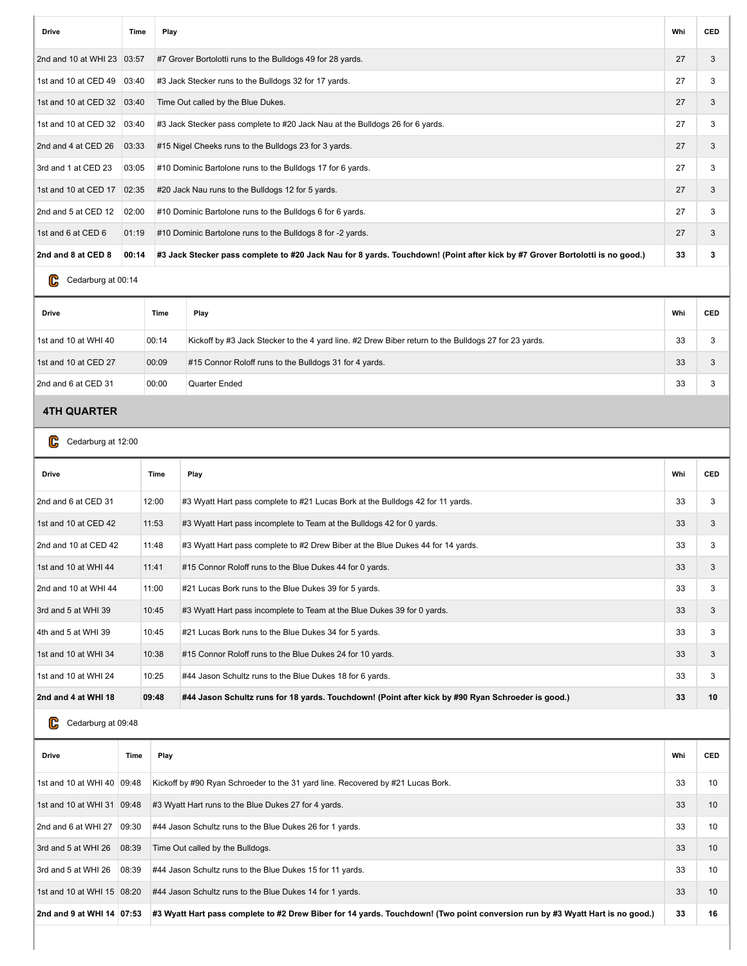| <b>Drive</b>                 | Time  | Play                                                                                                                         | Whi | <b>CED</b> |
|------------------------------|-------|------------------------------------------------------------------------------------------------------------------------------|-----|------------|
| 2nd and 10 at WHI 23 03:57   |       | #7 Grover Bortolotti runs to the Bulldogs 49 for 28 yards.                                                                   | 27  | 3          |
| 1st and 10 at CED 49         | 03:40 | #3 Jack Stecker runs to the Bulldogs 32 for 17 yards.                                                                        | 27  | 3          |
| 1st and 10 at CED 32         | 03:40 | Time Out called by the Blue Dukes.                                                                                           | 27  | 3          |
| 1st and 10 at CED 32   03:40 |       | #3 Jack Stecker pass complete to #20 Jack Nau at the Bulldogs 26 for 6 yards.                                                | 27  | 3          |
| 2nd and 4 at CED 26          | 03:33 | #15 Nigel Cheeks runs to the Bulldogs 23 for 3 yards.                                                                        | 27  | 3          |
| 3rd and 1 at CED 23          | 03:05 | #10 Dominic Bartolone runs to the Bulldogs 17 for 6 yards.                                                                   | 27  | 3          |
| 1st and 10 at CED 17         | 02:35 | #20 Jack Nau runs to the Bulldogs 12 for 5 yards.                                                                            | 27  | 3          |
| 2nd and 5 at CED 12          | 02:00 | #10 Dominic Bartolone runs to the Bulldogs 6 for 6 yards.                                                                    | 27  | 3          |
| 1st and 6 at CED 6           | 01:19 | #10 Dominic Bartolone runs to the Bulldogs 8 for -2 yards.                                                                   | 27  | 3          |
| 2nd and 8 at CED 8           | 00:14 | #3 Jack Stecker pass complete to #20 Jack Nau for 8 yards. Touchdown! (Point after kick by #7 Grover Bortolotti is no good.) | 33  | 3          |
|                              |       |                                                                                                                              |     |            |

### Cedarburg at 00:14

| <b>Drive</b>         | Time  | Play                                                                                                 | Whi | <b>CED</b> |
|----------------------|-------|------------------------------------------------------------------------------------------------------|-----|------------|
| 1st and 10 at WHI 40 | 00:14 | Kickoff by #3 Jack Stecker to the 4 yard line. #2 Drew Biber return to the Bulldogs 27 for 23 yards. | 33  |            |
| 1st and 10 at CED 27 | 00:09 | #15 Connor Roloff runs to the Bulldogs 31 for 4 yards.                                               | 33  |            |
| 2nd and 6 at CED 31  | 00:00 | Quarter Ended                                                                                        | 33  |            |

## **4TH QUARTER**

C Cedarburg at 12:00

| <b>Drive</b>         | Time  | Play                                                                                              | Whi | <b>CED</b> |
|----------------------|-------|---------------------------------------------------------------------------------------------------|-----|------------|
| 2nd and 6 at CED 31  | 12:00 | #3 Wyatt Hart pass complete to #21 Lucas Bork at the Bulldogs 42 for 11 yards.                    | 33  | 3          |
| 1st and 10 at CED 42 | 11:53 | #3 Wyatt Hart pass incomplete to Team at the Bulldogs 42 for 0 yards.                             | 33  | 3          |
| 2nd and 10 at CED 42 | 11:48 | #3 Wyatt Hart pass complete to #2 Drew Biber at the Blue Dukes 44 for 14 yards.                   | 33  | 3          |
| 1st and 10 at WHI 44 | 11:41 | #15 Connor Roloff runs to the Blue Dukes 44 for 0 yards.                                          | 33  | 3          |
| 2nd and 10 at WHI 44 | 11:00 | #21 Lucas Bork runs to the Blue Dukes 39 for 5 yards.                                             | 33  | 3          |
| 3rd and 5 at WHI 39  | 10:45 | #3 Wyatt Hart pass incomplete to Team at the Blue Dukes 39 for 0 yards.                           | 33  | 3          |
| 4th and 5 at WHI 39  | 10:45 | #21 Lucas Bork runs to the Blue Dukes 34 for 5 yards.                                             | 33  | 3          |
| 1st and 10 at WHI 34 | 10:38 | #15 Connor Roloff runs to the Blue Dukes 24 for 10 yards.                                         | 33  | 3          |
| 1st and 10 at WHI 24 | 10:25 | #44 Jason Schultz runs to the Blue Dukes 18 for 6 yards.                                          | 33  | 3          |
| 2nd and 4 at WHI 18  | 09:48 | #44 Jason Schultz runs for 18 yards. Touchdown! (Point after kick by #90 Ryan Schroeder is good.) | 33  | 10         |

# C Cedarburg at 09:48

| <b>Drive</b>                 | Time  | Play                                                                                                                          | Whi | <b>CED</b> |
|------------------------------|-------|-------------------------------------------------------------------------------------------------------------------------------|-----|------------|
| 1st and 10 at WHI 40   09:48 |       | Kickoff by #90 Ryan Schroeder to the 31 yard line. Recovered by #21 Lucas Bork.                                               | 33  | 10         |
| 1st and 10 at WHI 31 09:48   |       | #3 Wyatt Hart runs to the Blue Dukes 27 for 4 yards.                                                                          | 33  | 10         |
| 2nd and 6 at WHI 27          | 09:30 | #44 Jason Schultz runs to the Blue Dukes 26 for 1 yards.                                                                      | 33  | 10         |
| 3rd and 5 at WHI 26          | 08:39 | Time Out called by the Bulldogs.                                                                                              | 33  | 10         |
| 3rd and 5 at WHI 26          | 08:39 | #44 Jason Schultz runs to the Blue Dukes 15 for 11 yards.                                                                     | 33  | 10         |
| 1st and 10 at WHI 15 08:20   |       | #44 Jason Schultz runs to the Blue Dukes 14 for 1 yards.                                                                      | 33  | 10         |
| 2nd and 9 at WHI 14 07:53    |       | #3 Wyatt Hart pass complete to #2 Drew Biber for 14 yards. Touchdown! (Two point conversion run by #3 Wyatt Hart is no good.) | 33  | 16         |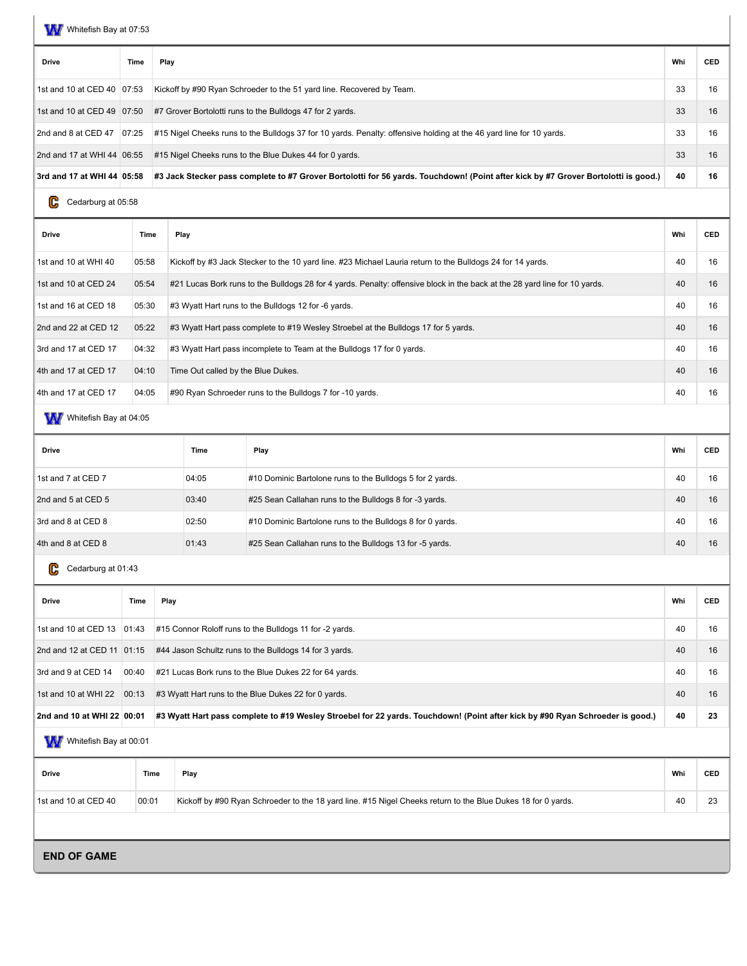W Whitefish Bay at 07:53

| <b>Drive</b>               | Time  | Play                                                                                                                               | Whi | <b>CED</b> |
|----------------------------|-------|------------------------------------------------------------------------------------------------------------------------------------|-----|------------|
| 1st and 10 at CED 40 07:53 |       | Kickoff by #90 Ryan Schroeder to the 51 yard line. Recovered by Team.                                                              | 33  | 16         |
| 1st and 10 at CED 49 07:50 |       | #7 Grover Bortolotti runs to the Bulldogs 47 for 2 yards.                                                                          | 33  | 16         |
| 2nd and 8 at CED 47        | 07:25 | #15 Nigel Cheeks runs to the Bulldogs 37 for 10 yards. Penalty: offensive holding at the 46 yard line for 10 yards.                | 33  | 16         |
| 2nd and 17 at WHI 44 06:55 |       | #15 Nigel Cheeks runs to the Blue Dukes 44 for 0 yards.                                                                            | 33  | 16         |
| 3rd and 17 at WHI 44 05:58 |       | #3 Jack Stecker pass complete to #7 Grover Bortolotti for 56 yards. Touchdown! (Point after kick by #7 Grover Bortolotti is good.) | 40  | 16         |

Ccedarburg at 05:58

| <b>Drive</b>         | Time  | Play                                                                                                                       | Whi | <b>CED</b> |
|----------------------|-------|----------------------------------------------------------------------------------------------------------------------------|-----|------------|
| 1st and 10 at WHI 40 | 05:58 | Kickoff by #3 Jack Stecker to the 10 yard line. #23 Michael Lauria return to the Bulldogs 24 for 14 yards.                 | 40  | 16         |
| 1st and 10 at CED 24 | 05:54 | #21 Lucas Bork runs to the Bulldogs 28 for 4 yards. Penalty: offensive block in the back at the 28 yard line for 10 yards. | 40  | 16         |
| 1st and 16 at CED 18 | 05:30 | #3 Wyatt Hart runs to the Bulldogs 12 for -6 yards.                                                                        | 40  | 16         |
| 2nd and 22 at CED 12 | 05:22 | #3 Wyatt Hart pass complete to #19 Wesley Stroebel at the Bulldogs 17 for 5 yards.                                         | 40  | 16         |
| 3rd and 17 at CED 17 | 04:32 | #3 Wyatt Hart pass incomplete to Team at the Bulldogs 17 for 0 yards.                                                      | 40  | 16         |
| 4th and 17 at CED 17 | 04:10 | Time Out called by the Blue Dukes.                                                                                         | 40  | 16         |
| 4th and 17 at CED 17 | 04:05 | #90 Ryan Schroeder runs to the Bulldogs 7 for -10 yards.                                                                   | 40  | 16         |

WW Whitefish Bay at 04:05

| <b>Drive</b>       | Time  | Play                                                      | Whi | <b>CED</b> |
|--------------------|-------|-----------------------------------------------------------|-----|------------|
| 1st and 7 at CED 7 | 04:05 | #10 Dominic Bartolone runs to the Bulldogs 5 for 2 yards. | 40  | 16         |
| 2nd and 5 at CED 5 | 03:40 | #25 Sean Callahan runs to the Bulldogs 8 for -3 yards.    | 40  | 16         |
| 3rd and 8 at CED 8 | 02:50 | #10 Dominic Bartolone runs to the Bulldogs 8 for 0 yards. | 40  | 16         |
| 4th and 8 at CED 8 | 01:43 | #25 Sean Callahan runs to the Bulldogs 13 for -5 yards.   | 40  | 16         |

# C Cedarburg at 01:43

| <b>Drive</b>                  | Time  | Play                                                                                                                          | Whi | <b>CED</b> |
|-------------------------------|-------|-------------------------------------------------------------------------------------------------------------------------------|-----|------------|
| 1st and 10 at CED 13   01:43  |       | #15 Connor Roloff runs to the Bulldogs 11 for -2 yards.                                                                       | 40  | 16         |
| 2nd and 12 at CED 11 01:15    |       | #44 Jason Schultz runs to the Bulldogs 14 for 3 yards.                                                                        | 40  | 16         |
| 3rd and 9 at CED 14           | 00:40 | #21 Lucas Bork runs to the Blue Dukes 22 for 64 yards.                                                                        | 40  | 16         |
| 1st and 10 at WHI 22          | 00:13 | #3 Wyatt Hart runs to the Blue Dukes 22 for 0 yards.                                                                          | 40  | 16         |
| 2nd and 10 at WHI 22 00:01 20 |       | #3 Wyatt Hart pass complete to #19 Wesley Stroebel for 22 yards. Touchdown! (Point after kick by #90 Ryan Schroeder is good.) | 40  | 23         |

# W Whitefish Bay at 00:01

| Drive                | Time  | Play                                                                                                         | Whi | <b>CED</b> |
|----------------------|-------|--------------------------------------------------------------------------------------------------------------|-----|------------|
| 1st and 10 at CED 40 | 00:01 | Kickoff by #90 Ryan Schroeder to the 18 yard line. #15 Nigel Cheeks return to the Blue Dukes 18 for 0 yards. | 40  | n-         |
|                      |       |                                                                                                              |     |            |

**END OF GAME**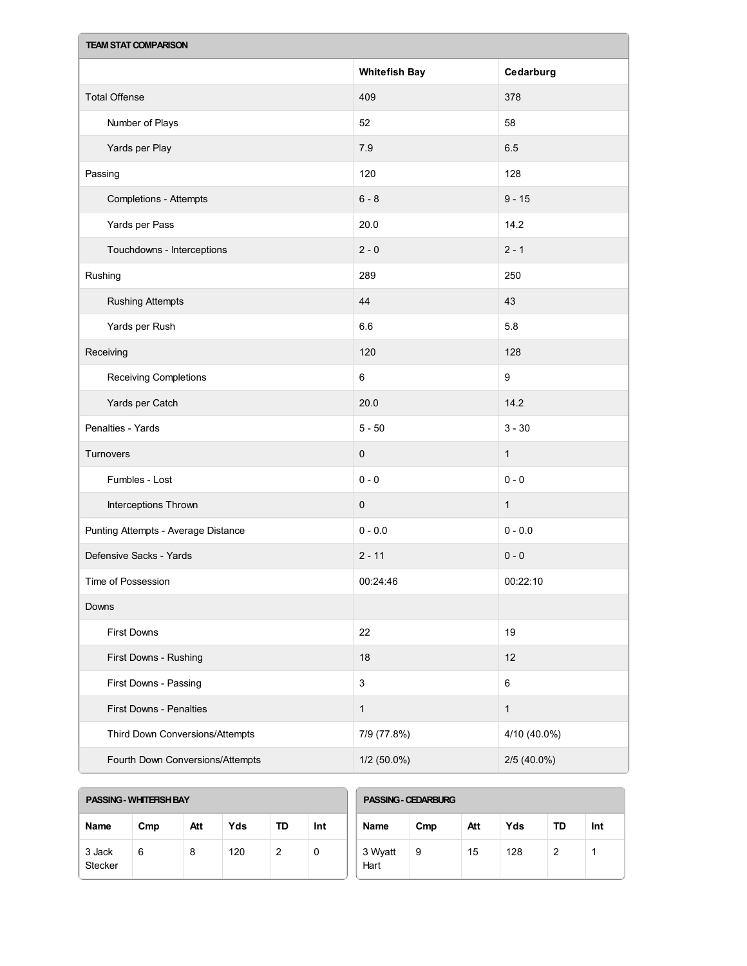| <b>TEAM STAT COMPARISON</b>         |                      |                  |  |  |  |
|-------------------------------------|----------------------|------------------|--|--|--|
|                                     | <b>Whitefish Bay</b> | Cedarburg        |  |  |  |
| <b>Total Offense</b>                | 409                  | 378              |  |  |  |
| Number of Plays                     | 52                   | 58               |  |  |  |
| Yards per Play                      | 7.9                  | 6.5              |  |  |  |
| Passing                             | 120                  | 128              |  |  |  |
| <b>Completions - Attempts</b>       | $6 - 8$              | $9 - 15$         |  |  |  |
| Yards per Pass                      | 20.0                 | 14.2             |  |  |  |
| Touchdowns - Interceptions          | $2 - 0$              | $2 - 1$          |  |  |  |
| Rushing                             | 289                  | 250              |  |  |  |
| <b>Rushing Attempts</b>             | 44                   | 43               |  |  |  |
| Yards per Rush                      | 6.6                  | 5.8              |  |  |  |
| Receiving                           | 120                  | 128              |  |  |  |
| Receiving Completions               | $\,6\,$              | $\boldsymbol{9}$ |  |  |  |
| Yards per Catch                     | 20.0                 | 14.2             |  |  |  |
| Penalties - Yards                   | $5 - 50$             | $3 - 30$         |  |  |  |
| Turnovers                           | $\pmb{0}$            | $\mathbf{1}$     |  |  |  |
| Fumbles - Lost                      | $0 - 0$              | $0 - 0$          |  |  |  |
| Interceptions Thrown                | $\pmb{0}$            | $\mathbf{1}$     |  |  |  |
| Punting Attempts - Average Distance | $0 - 0.0$            | $0 - 0.0$        |  |  |  |
| Defensive Sacks - Yards             | $2 - 11$             | $0 - 0$          |  |  |  |
| Time of Possession                  | 00:24:46             | 00:22:10         |  |  |  |
| Downs                               |                      |                  |  |  |  |
| First Downs                         | 22                   | 19               |  |  |  |
| First Downs - Rushing               | 18                   | 12               |  |  |  |
| First Downs - Passing               | $\sqrt{3}$           | $\,6\,$          |  |  |  |
| First Downs - Penalties             | $\mathbf{1}$         | $\mathbf{1}$     |  |  |  |
| Third Down Conversions/Attempts     | 7/9 (77.8%)          | 4/10 (40.0%)     |  |  |  |
| Fourth Down Conversions/Attempts    | $1/2$ (50.0%)        | 2/5 (40.0%)      |  |  |  |

| <b>PASSING - WHITERSH BAY</b> |  |
|-------------------------------|--|
|                               |  |

| Name                     | Cmp | Att | Yds | TD | Int |
|--------------------------|-----|-----|-----|----|-----|
| 3 Jack<br><b>Stecker</b> | 6   | 8   | 120 | 2  |     |

| <b>PASSING - CEDARBURG</b> |     |     |     |    |     |  |
|----------------------------|-----|-----|-----|----|-----|--|
| <b>Name</b>                | Cmp | Att | Yds | TD | Int |  |
| 3 Wyatt<br>Hart            | 9   | 15  | 128 | 2  |     |  |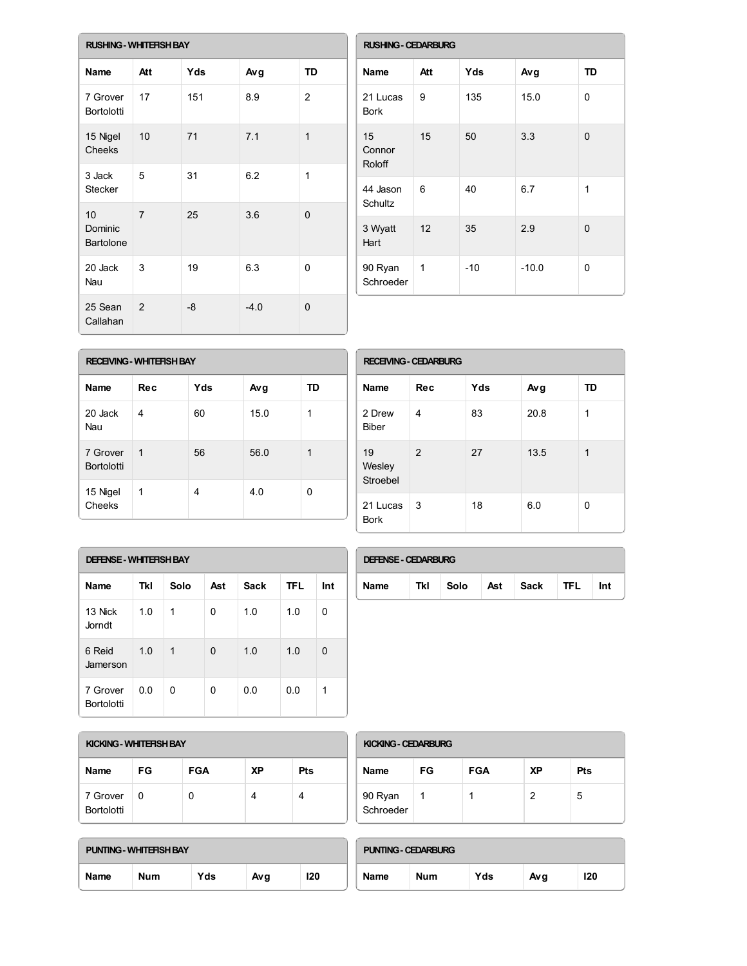|                                   | <b>RUSHING - WHITEFISH BAY</b> |     |        |                |  |  |  |
|-----------------------------------|--------------------------------|-----|--------|----------------|--|--|--|
| Name                              | Att                            | Yds | Avg    | <b>TD</b>      |  |  |  |
| 7 Grover<br><b>Bortolotti</b>     | 17                             | 151 | 8.9    | $\overline{2}$ |  |  |  |
| 15 Nigel<br>Cheeks                | 10                             | 71  | 7.1    | $\mathbf{1}$   |  |  |  |
| 3 Jack<br><b>Stecker</b>          | 5                              | 31  | 6.2    | 1              |  |  |  |
| 10<br>Dominic<br><b>Bartolone</b> | $\overline{7}$                 | 25  | 3.6    | $\Omega$       |  |  |  |
| 20 Jack<br>Nau                    | 3                              | 19  | 6.3    | 0              |  |  |  |
| 25 Sean<br>Callahan               | 2                              | -8  | $-4.0$ | 0              |  |  |  |

| <b>RUSHING - CEDARBURG</b> |     |       |         |           |  |
|----------------------------|-----|-------|---------|-----------|--|
| <b>Name</b>                | Att | Yds   | Avg     | <b>TD</b> |  |
| 21 Lucas<br><b>Bork</b>    | 9   | 135   | 15.0    | 0         |  |
| 15<br>Connor<br>Roloff     | 15  | 50    | 3.3     | $\Omega$  |  |
| 44 Jason<br>Schultz        | 6   | 40    | 6.7     | 1         |  |
| 3 Wyatt<br>Hart            | 12  | 35    | 2.9     | 0         |  |
| 90 Ryan<br>Schroeder       | 1   | $-10$ | $-10.0$ | 0         |  |

| <b>RECEIVING - WHITERSH BAY</b> |             |     |      |    |  |  |
|---------------------------------|-------------|-----|------|----|--|--|
| <b>Name</b>                     | Rec         | Yds | Avg  | TD |  |  |
| 20 Jack<br>Nau                  | 4           | 60  | 15.0 | 1  |  |  |
| 7 Grover<br><b>Bortolotti</b>   | $\mathbf 1$ | 56  | 56.0 | 1  |  |  |
| 15 Nigel<br>Cheeks              | 1           | 4   | 4.0  | 0  |  |  |

| <b>RECEIVING - CEDARBURG</b> |     |     |      |    |  |  |
|------------------------------|-----|-----|------|----|--|--|
| <b>Name</b>                  | Rec | Yds | Avg  | TD |  |  |
| 2 Drew<br><b>Biber</b>       | 4   | 83  | 20.8 | 1  |  |  |
| 19<br>Wesley<br>Stroebel     | 2   | 27  | 13.5 | 1  |  |  |
| 21 Lucas<br><b>Bork</b>      | 3   | 18  | 6.0  | 0  |  |  |

| <b>DEFENSE - WHITERSH BAY</b> |     |      |     |      |            |     |  |
|-------------------------------|-----|------|-----|------|------------|-----|--|
| <b>Name</b>                   | Tkl | Solo | Ast | Sack | <b>TFL</b> | Int |  |
| 13 Nick<br>Jorndt.            | 1.0 | 1    | 0   | 1.0  | 1.0        | 0   |  |
| 6 Reid<br>Jamerson            | 1.0 | 1    | 0   | 1.0  | 1.0        | 0   |  |
| 7 Grover<br><b>Bortolotti</b> | 0.0 | 0    | 0   | 0.0  | 0.0        | 1   |  |

| <b>DEFENSE - CEDARBURG</b> |     |      |     |      |      |     |  |
|----------------------------|-----|------|-----|------|------|-----|--|
| <b>Name</b>                | Tkl | Solo | Ast | Sack | TFL. | Int |  |

| KICKING - WHITERSH BAY        |              |            |           |     |  |  |
|-------------------------------|--------------|------------|-----------|-----|--|--|
| <b>Name</b>                   | FG           | <b>FGA</b> | <b>XP</b> | Pts |  |  |
| 7 Grover<br><b>Bortolotti</b> | <sup>0</sup> | U          |           |     |  |  |

| KICKING - CEDARBURG  |    |            |    |     |  |
|----------------------|----|------------|----|-----|--|
| <b>Name</b>          | FG | <b>FGA</b> | XP | Pts |  |
| 90 Ryan<br>Schroeder |    |            | 2  | 5   |  |

| <b>PUNTING - WHITERSH BAY</b> |     |     |     |     |  |  |
|-------------------------------|-----|-----|-----|-----|--|--|
| Name                          | Num | Yds | Avg | 120 |  |  |

| <b>PUNTING - CEDARBURG</b> |     |     |     |     |  |  |
|----------------------------|-----|-----|-----|-----|--|--|
| Name                       | Num | Yds | Avg | 120 |  |  |